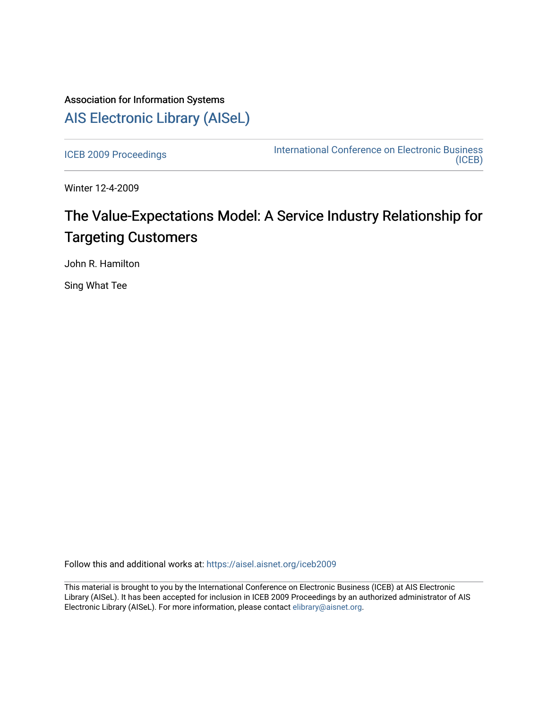# Association for Information Systems [AIS Electronic Library \(AISeL\)](https://aisel.aisnet.org/)

[ICEB 2009 Proceedings](https://aisel.aisnet.org/iceb2009) **International Conference on Electronic Business** [\(ICEB\)](https://aisel.aisnet.org/iceb) 

Winter 12-4-2009

# The Value-Expectations Model: A Service Industry Relationship for Targeting Customers

John R. Hamilton

Sing What Tee

Follow this and additional works at: [https://aisel.aisnet.org/iceb2009](https://aisel.aisnet.org/iceb2009?utm_source=aisel.aisnet.org%2Ficeb2009%2F124&utm_medium=PDF&utm_campaign=PDFCoverPages)

This material is brought to you by the International Conference on Electronic Business (ICEB) at AIS Electronic Library (AISeL). It has been accepted for inclusion in ICEB 2009 Proceedings by an authorized administrator of AIS Electronic Library (AISeL). For more information, please contact [elibrary@aisnet.org.](mailto:elibrary@aisnet.org%3E)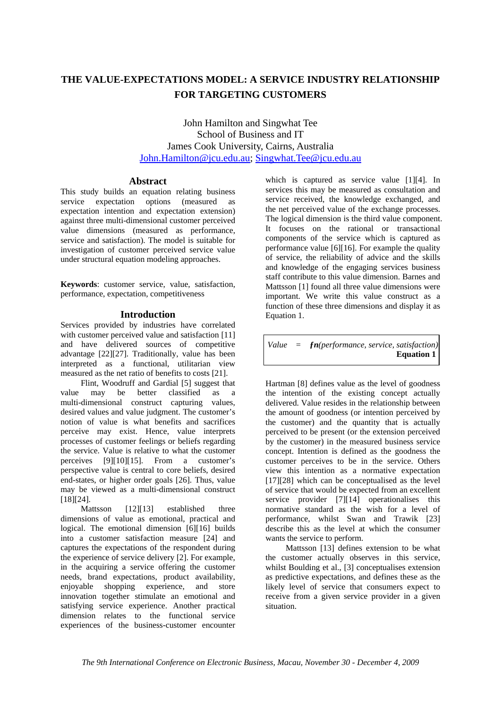# **THE VALUE-EXPECTATIONS MODEL: A SERVICE INDUSTRY RELATIONSHIP FOR TARGETING CUSTOMERS**

John Hamilton and Singwhat Tee School of Business and IT James Cook University, Cairns, Australia John.Hamilton@jcu.edu.au; Singwhat.Tee@jcu.edu.au

## **Abstract**

This study builds an equation relating business service expectation options (measured as expectation intention and expectation extension) against three multi-dimensional customer perceived value dimensions (measured as performance, service and satisfaction). The model is suitable for investigation of customer perceived service value under structural equation modeling approaches.

**Keywords**: customer service, value, satisfaction, performance, expectation, competitiveness

# **Introduction**

Services provided by industries have correlated with customer perceived value and satisfaction [11] and have delivered sources of competitive advantage [22][27]. Traditionally, value has been interpreted as a functional, utilitarian view measured as the net ratio of benefits to costs [21].

Flint, Woodruff and Gardial [5] suggest that value may be better classified as a multi-dimensional construct capturing values, desired values and value judgment. The customer's notion of value is what benefits and sacrifices perceive may exist. Hence, value interprets processes of customer feelings or beliefs regarding the service. Value is relative to what the customer perceives [9][10][15]. From a customer's perspective value is central to core beliefs, desired end-states, or higher order goals [26]. Thus, value may be viewed as a multi-dimensional construct [18][24].

Mattsson [12][13] established three dimensions of value as emotional, practical and logical. The emotional dimension [6][16] builds into a customer satisfaction measure [24] and captures the expectations of the respondent during the experience of service delivery [2]. For example, in the acquiring a service offering the customer needs, brand expectations, product availability, enjoyable shopping experience, and store innovation together stimulate an emotional and satisfying service experience. Another practical dimension relates to the functional service experiences of the business-customer encounter

which is captured as service value [1][4]. In services this may be measured as consultation and service received, the knowledge exchanged, and the net perceived value of the exchange processes. The logical dimension is the third value component. It focuses on the rational or transactional components of the service which is captured as performance value [6][16]. For example the quality of service, the reliability of advice and the skills and knowledge of the engaging services business staff contribute to this value dimension. Barnes and Mattsson [1] found all three value dimensions were important. We write this value construct as a function of these three dimensions and display it as Equation 1.

*Value = ƒn(performance, service, satisfaction)*  **Equation 1** 

Hartman [8] defines value as the level of goodness the intention of the existing concept actually delivered. Value resides in the relationship between the amount of goodness (or intention perceived by the customer) and the quantity that is actually perceived to be present (or the extension perceived by the customer) in the measured business service concept. Intention is defined as the goodness the customer perceives to be in the service. Others view this intention as a normative expectation [17][28] which can be conceptualised as the level of service that would be expected from an excellent service provider [7][14] operationalises this normative standard as the wish for a level of performance, whilst Swan and Trawik [23] describe this as the level at which the consumer wants the service to perform.

Mattsson [13] defines extension to be what the customer actually observes in this service, whilst Boulding et al., [3] conceptualises extension as predictive expectations, and defines these as the likely level of service that consumers expect to receive from a given service provider in a given situation.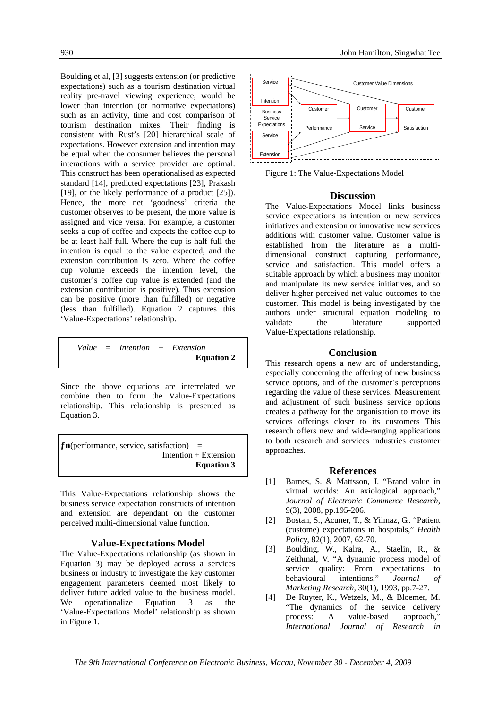Boulding et al, [3] suggests extension (or predictive expectations) such as a tourism destination virtual reality pre-travel viewing experience, would be lower than intention (or normative expectations) such as an activity, time and cost comparison of tourism destination mixes. Their finding is consistent with Rust's [20] hierarchical scale of expectations. However extension and intention may be equal when the consumer believes the personal interactions with a service provider are optimal. This construct has been operationalised as expected standard [14], predicted expectations [23], Prakash [19], or the likely performance of a product [25]). Hence, the more net 'goodness' criteria the customer observes to be present, the more value is assigned and vice versa. For example, a customer seeks a cup of coffee and expects the coffee cup to be at least half full. Where the cup is half full the intention is equal to the value expected, and the extension contribution is zero. Where the coffee cup volume exceeds the intention level, the customer's coffee cup value is extended (and the extension contribution is positive). Thus extension can be positive (more than fulfilled) or negative (less than fulfilled). Equation 2 captures this 'Value-Expectations' relationship.

*Value = Intention + Extension* **Equation 2**

Since the above equations are interrelated we combine then to form the Value-Expectations relationship. This relationship is presented as Equation 3.

 $fn$ (performance, service, satisfaction) = Intention + Extension **Equation 3** 

This Value-Expectations relationship shows the business service expectation constructs of intention and extension are dependant on the customer perceived multi-dimensional value function.

## **Value-Expectations Model**

The Value-Expectations relationship (as shown in Equation 3) may be deployed across a services business or industry to investigate the key customer engagement parameters deemed most likely to deliver future added value to the business model. We operationalize Equation 3 as the 'Value-Expectations Model' relationship as shown in Figure 1.



Figure 1: The Value-Expectations Model

### **Discussion**

The Value-Expectations Model links business service expectations as intention or new services initiatives and extension or innovative new services additions with customer value. Customer value is established from the literature as a multidimensional construct capturing performance, service and satisfaction. This model offers a suitable approach by which a business may monitor and manipulate its new service initiatives, and so deliver higher perceived net value outcomes to the customer. This model is being investigated by the authors under structural equation modeling to validate the literature supported Value-Expectations relationship.

#### **Conclusion**

This research opens a new arc of understanding, especially concerning the offering of new business service options, and of the customer's perceptions regarding the value of these services. Measurement and adjustment of such business service options creates a pathway for the organisation to move its services offerings closer to its customers This research offers new and wide-ranging applications to both research and services industries customer approaches.

#### **References**

- [1] Barnes, S. & Mattsson, J. "Brand value in virtual worlds: An axiological approach," *Journal of Electronic Commerce Research*, 9(3), 2008, pp.195-206.
- [2] Bostan, S., Acuner, T., & Yilmaz, G.. "Patient (custome) expectations in hospitals," *Health Policy*, 82(1), 2007, 62-70.
- [3] Boulding, W., Kalra, A., Staelin, R., & Zeithmal, V. "A dynamic process model of service quality: From expectations to behavioural intentions," *Journal of Marketing Research,* 30(1), 1993, pp.7-27.
- [4] De Ruyter, K., Wetzels, M., & Bloemer, M. "The dynamics of the service delivery process: A value-based approach," *International Journal of Research in*